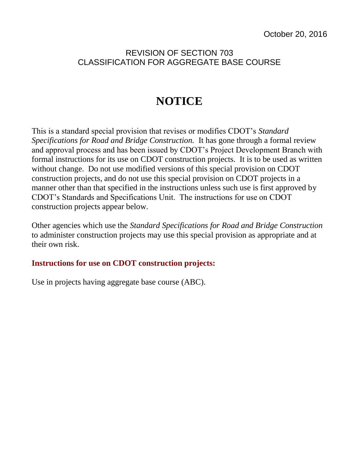## REVISION OF SECTION 703 CLASSIFICATION FOR AGGREGATE BASE COURSE

## **NOTICE**

This is a standard special provision that revises or modifies CDOT's *Standard Specifications for Road and Bridge Construction.* It has gone through a formal review and approval process and has been issued by CDOT's Project Development Branch with formal instructions for its use on CDOT construction projects. It is to be used as written without change. Do not use modified versions of this special provision on CDOT construction projects, and do not use this special provision on CDOT projects in a manner other than that specified in the instructions unless such use is first approved by CDOT's Standards and Specifications Unit. The instructions for use on CDOT construction projects appear below.

Other agencies which use the *Standard Specifications for Road and Bridge Construction* to administer construction projects may use this special provision as appropriate and at their own risk.

## **Instructions for use on CDOT construction projects:**

Use in projects having aggregate base course (ABC).